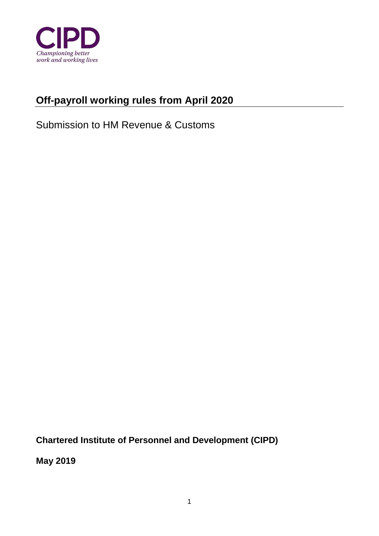

## **Off-payroll working rules from April 2020**

Submission to HM Revenue & Customs

**Chartered Institute of Personnel and Development (CIPD)** 

**May 2019**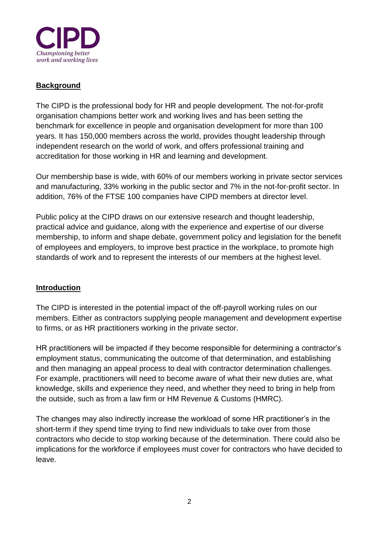

## **Background**

The CIPD is the professional body for HR and people development. The not-for-profit organisation champions better work and working lives and has been setting the benchmark for excellence in people and organisation development for more than 100 years. It has 150,000 members across the world, provides thought leadership through independent research on the world of work, and offers professional training and accreditation for those working in HR and learning and development.

Our membership base is wide, with 60% of our members working in private sector services and manufacturing, 33% working in the public sector and 7% in the not-for-profit sector. In addition, 76% of the FTSE 100 companies have CIPD members at director level.

Public policy at the CIPD draws on our extensive research and thought leadership, practical advice and guidance, along with the experience and expertise of our diverse membership, to inform and shape debate, government policy and legislation for the benefit of employees and employers, to improve best practice in the workplace, to promote high standards of work and to represent the interests of our members at the highest level.

## **Introduction**

The CIPD is interested in the potential impact of the off-payroll working rules on our members. Either as contractors supplying people management and development expertise to firms, or as HR practitioners working in the private sector.

HR practitioners will be impacted if they become responsible for determining a contractor's employment status, communicating the outcome of that determination, and establishing and then managing an appeal process to deal with contractor determination challenges. For example, practitioners will need to become aware of what their new duties are, what knowledge, skills and experience they need, and whether they need to bring in help from the outside, such as from a law firm or HM Revenue & Customs (HMRC).

The changes may also indirectly increase the workload of some HR practitioner's in the short-term if they spend time trying to find new individuals to take over from those contractors who decide to stop working because of the determination. There could also be implications for the workforce if employees must cover for contractors who have decided to leave.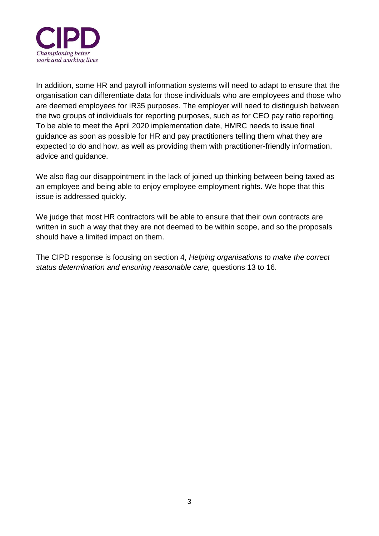

In addition, some HR and payroll information systems will need to adapt to ensure that the organisation can differentiate data for those individuals who are employees and those who are deemed employees for IR35 purposes. The employer will need to distinguish between the two groups of individuals for reporting purposes, such as for CEO pay ratio reporting. To be able to meet the April 2020 implementation date, HMRC needs to issue final guidance as soon as possible for HR and pay practitioners telling them what they are expected to do and how, as well as providing them with practitioner-friendly information, advice and guidance.

We also flag our disappointment in the lack of joined up thinking between being taxed as an employee and being able to enjoy employee employment rights. We hope that this issue is addressed quickly.

We judge that most HR contractors will be able to ensure that their own contracts are written in such a way that they are not deemed to be within scope, and so the proposals should have a limited impact on them.

The CIPD response is focusing on section 4, *Helping organisations to make the correct status determination and ensuring reasonable care,* questions 13 to 16.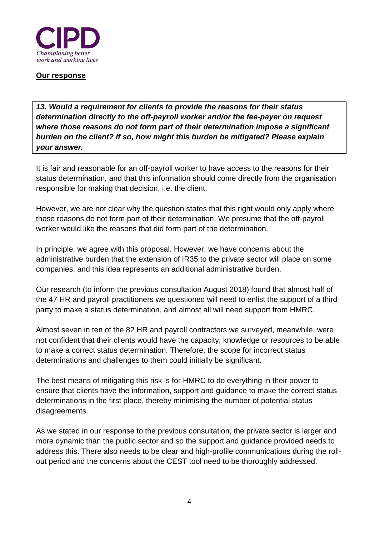

**Our response**

*13. Would a requirement for clients to provide the reasons for their status determination directly to the off-payroll worker and/or the fee-payer on request where those reasons do not form part of their determination impose a significant burden on the client? If so, how might this burden be mitigated? Please explain your answer.*

It is fair and reasonable for an off-payroll worker to have access to the reasons for their status determination, and that this information should come directly from the organisation responsible for making that decision, i.e. the client.

However, we are not clear why the question states that this right would only apply where those reasons do not form part of their determination. We presume that the off-payroll worker would like the reasons that did form part of the determination.

In principle, we agree with this proposal. However, we have concerns about the administrative burden that the extension of IR35 to the private sector will place on some companies, and this idea represents an additional administrative burden.

Our research (to inform the previous consultation August 2018) found that almost half of the 47 HR and payroll practitioners we questioned will need to enlist the support of a third party to make a status determination, and almost all will need support from HMRC.

Almost seven in ten of the 82 HR and payroll contractors we surveyed, meanwhile, were not confident that their clients would have the capacity, knowledge or resources to be able to make a correct status determination. Therefore, the scope for incorrect status determinations and challenges to them could initially be significant.

The best means of mitigating this risk is for HMRC to do everything in their power to ensure that clients have the information, support and guidance to make the correct status determinations in the first place, thereby minimising the number of potential status disagreements.

As we stated in our response to the previous consultation, the private sector is larger and more dynamic than the public sector and so the support and guidance provided needs to address this. There also needs to be clear and high-profile communications during the rollout period and the concerns about the CEST tool need to be thoroughly addressed.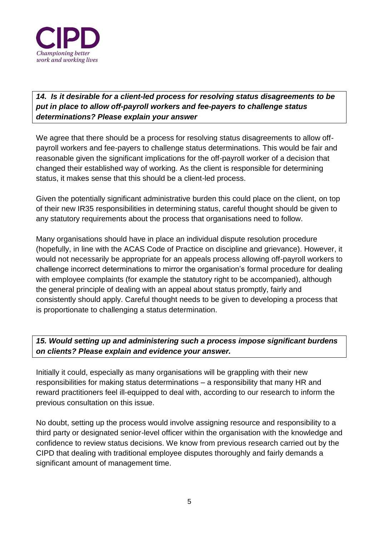

*14. Is it desirable for a client-led process for resolving status disagreements to be put in place to allow off-payroll workers and fee-payers to challenge status determinations? Please explain your answer*

We agree that there should be a process for resolving status disagreements to allow offpayroll workers and fee-payers to challenge status determinations. This would be fair and reasonable given the significant implications for the off-payroll worker of a decision that changed their established way of working. As the client is responsible for determining status, it makes sense that this should be a client-led process.

Given the potentially significant administrative burden this could place on the client, on top of their new IR35 responsibilities in determining status, careful thought should be given to any statutory requirements about the process that organisations need to follow.

Many organisations should have in place an individual dispute resolution procedure (hopefully, in line with the ACAS Code of Practice on discipline and grievance). However, it would not necessarily be appropriate for an appeals process allowing off-payroll workers to challenge incorrect determinations to mirror the organisation's formal procedure for dealing with employee complaints (for example the statutory right to be accompanied), although the general principle of dealing with an appeal about status promptly, fairly and consistently should apply. Careful thought needs to be given to developing a process that is proportionate to challenging a status determination.

## *15. Would setting up and administering such a process impose significant burdens on clients? Please explain and evidence your answer.*

Initially it could, especially as many organisations will be grappling with their new responsibilities for making status determinations – a responsibility that many HR and reward practitioners feel ill-equipped to deal with, according to our research to inform the previous consultation on this issue.

No doubt, setting up the process would involve assigning resource and responsibility to a third party or designated senior-level officer within the organisation with the knowledge and confidence to review status decisions. We know from previous research carried out by the CIPD that dealing with traditional employee disputes thoroughly and fairly demands a significant amount of management time.